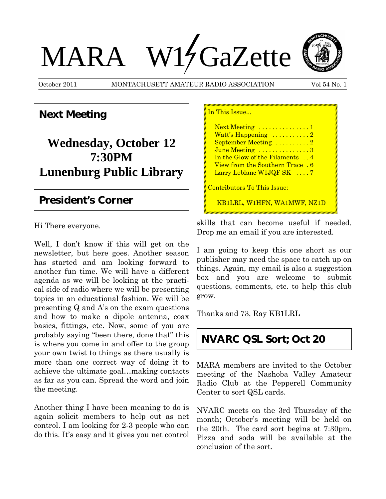# MARA W14 GaZette



October 2011 MONTACHUSETT AMATEUR RADIO ASSOCIATION Vol 54 No. 1

 $\overline{m}$   $\overline{r}$ 

# **Next Meeting**

# **Wednesday, October 12 7:30PM Lunenburg Public Library**

## **President's Corner**

Hi There everyone.

Well, I don't know if this will get on the newsletter, but here goes. Another season has started and am looking forward to another fun time. We will have a different agenda as we will be looking at the practical side of radio where we will be presenting topics in an educational fashion. We will be presenting Q and A's on the exam questions and how to make a dipole antenna, coax basics, fittings, etc. Now, some of you are probably saying "been there, done that" this is where you come in and offer to the group your own twist to things as there usually is more than one correct way of doing it to achieve the ultimate goal…making contacts as far as you can. Spread the word and join the meeting.

Another thing I have been meaning to do is again solicit members to help out as net control. I am looking for 2-3 people who can do this. It's easy and it gives you net control

| <u>III. IIIIN INNUE</u>                |
|----------------------------------------|
| Next Meeting 1                         |
| Watt's Happening $\dots \dots \dots 2$ |
| September Meeting 2                    |
| June Meeting 3                         |
| In the Glow of the Filaments  4        |
| <u>View from the Southern Trace, 6</u> |
| Larry Leblanc $W1JQFSK$ 7              |
| Contributors To This Issue:            |
| KB1LRL, W1HFN, WA1MWF, NZ1D            |

skills that can become useful if needed. Drop me an email if you are interested.

I am going to keep this one short as our publisher may need the space to catch up on things. Again, my email is also a suggestion box and you are welcome to submit questions, comments, etc. to help this club grow.

Thanks and 73, Ray KB1LRL

# **NVARC QSL Sort; Oct 20**

MARA members are invited to the October meeting of the Nashoba Valley Amateur Radio Club at the Pepperell Community Center to sort QSL cards.

NVARC meets on the 3rd Thursday of the month; October's meeting will be held on the 20th. The card sort begins at 7:30pm. Pizza and soda will be available at the conclusion of the sort.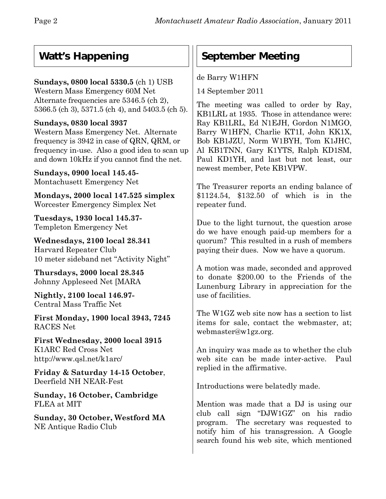# **Watt's Happening**

#### **Sundays, 0800 local 5330.5** (ch 1) USB Western Mass Emergency 60M Net Alternate frequencies are 5346.5 (ch 2), 5366.5 (ch 3), 5371.5 (ch 4), and 5403.5 (ch 5).

### **Sundays, 0830 local 3937**

Western Mass Emergency Net. Alternate frequency is 3942 in case of QRN, QRM, or frequency in-use. Also a good idea to scan up and down 10kHz if you cannot find the net.

**Sundays, 0900 local 145.45-** Montachusett Emergency Net

**Mondays, 2000 local 147.525 simplex** Worcester Emergency Simplex Net

**Tuesdays, 1930 local 145.37-** Templeton Emergency Net

**Wednesdays, 2100 local 28.341** Harvard Repeater Club 10 meter sideband net "Activity Night"

**Thursdays, 2000 local 28.345** Johnny Appleseed Net [MARA

**Nightly, 2100 local 146.97-** Central Mass Traffic Net

**First Monday, 1900 local 3943, 7245** RACES Net

**First Wednesday, 2000 local 3915** K1ARC Red Cross Net http://www.qsl.net/k1arc/

**Friday & Saturday 14-15 October**, Deerfield NH NEAR-Fest

**Sunday, 16 October, Cambridge** FLEA at MIT

**Sunday, 30 October, Westford MA** NE Antique Radio Club

# **September Meeting**

de Barry W1HFN

14 September 2011

The meeting was called to order by Ray, KB1LRL at 1935. Those in attendance were: Ray KB1LRL, Ed N1EJH, Gordon N1MGO, Barry W1HFN, Charlie KT1I, John KK1X, Bob KB1JZU, Norm W1BYH, Tom K1JHC, Al KB1TNN, Gary K1YTS, Ralph KD1SM, Paul KD1YH, and last but not least, our newest member, Pete KB1VPW.

The Treasurer reports an ending balance of \$1124.54, \$132.50 of which is in the repeater fund.

Due to the light turnout, the question arose do we have enough paid-up members for a quorum? This resulted in a rush of members paying their dues. Now we have a quorum.

A motion was made, seconded and approved to donate \$200.00 to the Friends of the Lunenburg Library in appreciation for the use of facilities.

The W1GZ web site now has a section to list items for sale, contact the webmaster, at; webmaster@w1gz.org.

An inquiry was made as to whether the club web site can be made inter-active. Paul replied in the affirmative.

Introductions were belatedly made.

Mention was made that a DJ is using our club call sign "DJW1GZ" on his radio program. The secretary was requested to notify him of his transgression. A Google search found his web site, which mentioned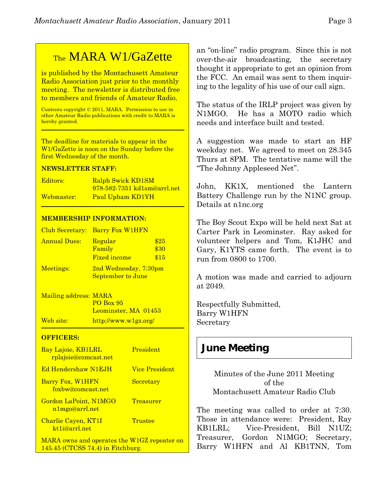# TheMARA W1/GaZette

is published by the Montachusett Amateur Radio Association just prior to the monthly meeting. The newsletter is distributed free to members and friends of Amateur Radio.

Contents copyright © 2011, MARA. Permission to use in other Amateur Radio publications with credit to MARA is hereby granted.

The deadline for materials to appear in the W1/GaZette is noon on the Sunday before the first Wednesday of the month.

#### **NEWSLETTER STAFF:**

| Editors:   | Ralph Swick KD1SM           |
|------------|-----------------------------|
|            | 978-582-7351 kd1sm@arrl.net |
| Webmaster: | Paul Upham KD1YH            |

#### **MEMBERSHIP INFORMATION:**

|                     | Club Secretary: Barry Fox W1HFN                   |              |
|---------------------|---------------------------------------------------|--------------|
| <b>Annual Dues:</b> | Regular<br>Family                                 | \$25<br>\$30 |
|                     | <b>Fixed income</b>                               | \$15         |
| Meetings:           | 2nd Wednesday, 7:30pm<br><b>September to June</b> |              |

Mailing address: MARA PO Box 95 Leominster, MA 01453 Web site: http://www.w1gz.org/

#### **OFFICERS:**

| Ray Lajoie, KB1LRL<br>rplajoie@comcast.net                                       | President             |
|----------------------------------------------------------------------------------|-----------------------|
| Ed Hendershaw N1EJH                                                              | <b>Vice President</b> |
| Barry Fox, W1HFN<br>foxbw@comcast.net                                            | <b>Secretary</b>      |
| Gordon LaPoint, N1MGO<br>n1mgo@arrl.net                                          | Treasurer             |
| Charlie Cayen, KT1I<br>kt1j@arrl.net                                             | Trustee               |
| MARA owns and operates the W1GZ repeater on<br>145.45 (CTCSS 74.4) in Fitchburg. |                       |

an "on-line" radio program. Since this is not over-the-air broadcasting, the secretary thought it appropriate to get an opinion from the FCC. An email was sent to them inquiring to the legality of his use of our call sign.

The status of the IRLP project was given by N1MGO. He has a MOTO radio which needs and interface built and tested.

A suggestion was made to start an HF weekday net. We agreed to meet on 28.345 Thurs at 8PM. The tentative name will the "The Johnny Appleseed Net".

John, KK1X, mentioned the Lantern Battery Challenge run by the N1NC group. Details at n1nc.org

The Boy Scout Expo will be held next Sat at Carter Park in Leominster. Ray asked for volunteer helpers and Tom, K1JHC and Gary, K1YTS came forth. The event is to run from 0800 to 1700.

A motion was made and carried to adjourn at 2049.

Respectfully Submitted, Barry W1HFN Secretary

## **June Meeting**

Minutes of the June 2011 Meeting of the Montachusett Amateur Radio Club

The meeting was called to order at 7:30. Those in attendance were: President, Ray KB1LRL; Vice-President, Bill N1UZ; Treasurer, Gordon N1MGO; Secretary, Barry W1HFN and Al KB1TNN, Tom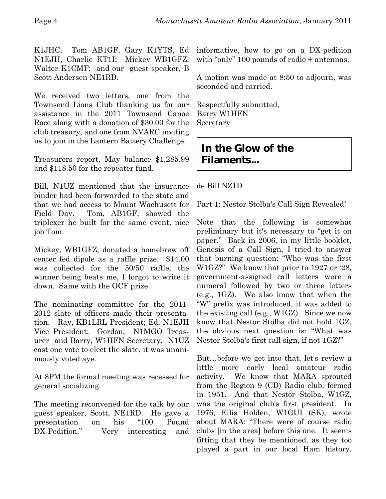K1JHC, Tom AB1GF, Gary K1YTS, Ed N1EJH, Charlie KT1I; Mickey WB1GFZ; Walter K1CMF; and our guest speaker, B Scott Andersen NE1RD.

We received two letters, one from the Townsend Lions Club thanking us for our assistance in the 2011 Townsend Canoe Race along with a donation of \$30.00 for the club treasury, and one from NVARC inviting us to join in the Lantern Battery Challenge.

Treasurers report, May balance \$1,285.99 and \$118.50 for the repeater fund.

Bill, N1UZ mentioned that the insurance binder had been forwarded to the state and that we had access to Mount Wachusett for Field Day. Tom, AB1GF, showed the triplexer he built for the same event, nice job Tom.

Mickey, WB1GFZ, donated a homebrew off center fed dipole as a raffle prize. \$14.00 was collected for the 50/50 raffle, the winner being beats me, I forgot to write it down. Same with the OCF prize.

The nominating committee for the 2011- 2012 slate of officers made their presentation. Ray, KB1LRL President; Ed, N1EJH Vice President; Gordon, N1MGO Treasurer and Barry, W1HFN Secretary. N1UZ cast one vote to elect the slate, it was unanimously voted aye.

At 8PM the formal meeting was recessed for general socializing.

The meeting reconvened for the talk by our guest speaker, Scott, NE1RD. He gave a presentation on his "100 Pound DX-Pedition." Very interesting and

informative, how to go on a DX-pedition with "only" 100 pounds of radio + antennas.

A motion was made at 8:50 to adjourn, was seconded and carried.

Respectfully submitted, Barry W1HFN Secretary

# **In the Glow of the Filaments...**

de Bill NZ1D

Part 1: Nestor Stolba's Call Sign Revealed!

Note that the following is somewhat preliminary but it's necessary to "get it on paper." Back in 2006, in my little booklet, Genesis of a Call Sign, I tried to answer that burning question: "Who was the first W1GZ?" We know that prior to 1927 or '28, government-assigned call letters were a numeral followed by two or three letters (e.g., 1GZ). We also know that when the "W" prefix was introduced, it was added to the existing call (e.g., W1GZ). Since we now know that Nestor Stolba did not hold 1GZ, the obvious next question is: "What was Nestor Stolba's first call sign, if not 1GZ?"

But…before we get into that, let's review a little more early local amateur radio activity. We know that MARA sprouted from the Region 9 (CD) Radio club, formed in 1951. And that Nestor Stolba, W1GZ, was the original club's first president. In 1976, Ellis Holden, W1GUI (SK), wrote about MARA: "There were of course radio clubs [in the area] before this one. It seems fitting that they be mentioned, as they too played a part in our local Ham history.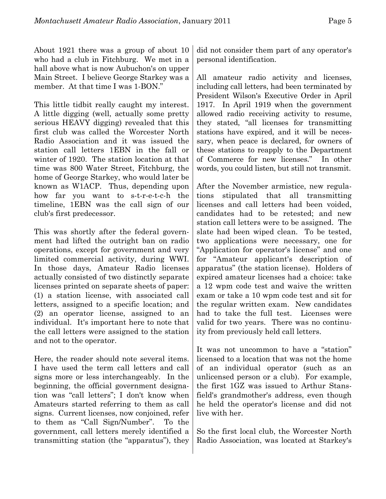About 1921 there was a group of about 10 who had a club in Fitchburg. We met in a hall above what is now Aubuchon's on upper Main Street. I believe George Starkey was a member. At that time I was 1-BON."

This little tidbit really caught my interest. A little digging (well, actually some pretty serious HEAVY digging) revealed that this first club was called the Worcester North Radio Association and it was issued the station call letters 1EBN in the fall or winter of 1920. The station location at that time was 800 Water Street, Fitchburg, the home of George Starkey, who would later be known as W1ACP. Thus, depending upon how far you want to s-t-r-e-t-c-h the timeline, 1EBN was the call sign of our club's first predecessor.

This was shortly after the federal government had lifted the outright ban on radio operations, except for government and very limited commercial activity, during WWI. In those days, Amateur Radio licenses actually consisted of two distinctly separate licenses printed on separate sheets of paper: (1) a station license, with associated call letters, assigned to a specific location; and (2) an operator license, assigned to an individual. It's important here to note that the call letters were assigned to the station and not to the operator.

Here, the reader should note several items. I have used the term call letters and call signs more or less interchangeably. In the beginning, the official government designation was "call letters"; I don't know when Amateurs started referring to them as call signs. Current licenses, now conjoined, refer to them as "Call Sign/Number". To the government, call letters merely identified a transmitting station (the "apparatus"), they

did not consider them part of any operator's personal identification.

All amateur radio activity and licenses, including call letters, had been terminated by President Wilson's Executive Order in April 1917. In April 1919 when the government allowed radio receiving activity to resume, they stated, "all licenses for transmitting stations have expired, and it will be necessary, when peace is declared, for owners of these stations to reapply to the Department of Commerce for new licenses." In other words, you could listen, but still not transmit.

After the November armistice, new regulations stipulated that all transmitting licenses and call letters had been voided, candidates had to be retested; and new station call letters were to be assigned. The slate had been wiped clean. To be tested, two applications were necessary, one for "Application for operator's license" and one for "Amateur applicant's description of apparatus" (the station license). Holders of expired amateur licenses had a choice: take a 12 wpm code test and waive the written exam or take a 10 wpm code test and sit for the regular written exam. New candidates had to take the full test. Licenses were valid for two years. There was no continuity from previously held call letters.

It was not uncommon to have a "station" licensed to a location that was not the home of an individual operator (such as an unlicensed person or a club). For example, the first 1GZ was issued to Arthur Stansfield's grandmother's address, even though he held the operator's license and did not live with her.

So the first local club, the Worcester North Radio Association, was located at Starkey's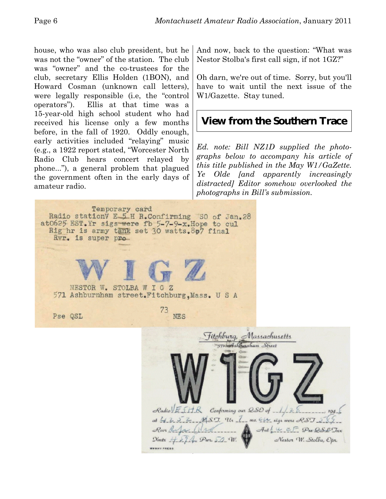house, who was also club president, but he was not the "owner" of the station. The club was "owner" and the co-trustees for the club, secretary Ellis Holden (1BON), and Howard Cosman (unknown call letters), were legally responsible (i.e, the "control operators"). Ellis at that time was a 15-year-old high school student who had received his license only a few months before, in the fall of 1920. Oddly enough, early activities included "relaying" music (e.g., a 1922 report stated, "Worcester North Radio Club hears concert relayed by phone..."), a general problem that plagued the government often in the early days of amateur radio.

And now, back to the question: "What was Nestor Stolba's first call sign, if not 1GZ?"

Oh darn, we're out of time. Sorry, but you'll have to wait until the next issue of the W1/Gazette. Stay tuned.

# **View from the Southern Trace**

*Ed. note: Bill NZ1D supplied the photographs below to accompany his article of this title published in the May W1/GaZette. Ye Olde [and apparently increasingly distracted] Editor somehow overlooked the photographs in Bill's submission.*

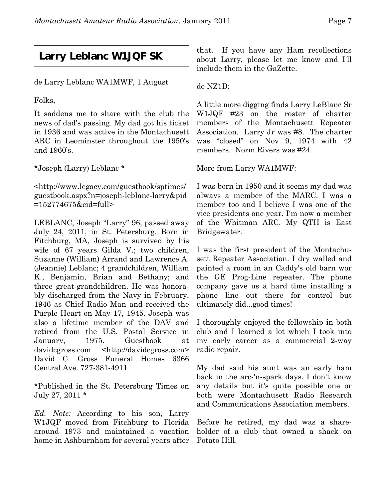# **Larry Leblanc W1JQF SK**

de Larry Leblanc WA1MWF, 1 August

Folks,

It saddens me to share with the club the news of dad's passing. My dad got his ticket in 1936 and was active in the Montachusett ARC in Leominster throughout the 1950's and 1960's.

\*Joseph (Larry) Leblanc \*

<http://www.legacy.com/guestbook/sptimes/ guestbook.aspx?n=joseph-leblanc-larry&pid =152774675&cid=full>

LEBLANC, Joseph "Larry" 96, passed away July 24, 2011, in St. Petersburg. Born in Fitchburg, MA, Joseph is survived by his wife of 67 years Gilda V.; two children, Suzanne (William) Arrand and Lawrence A. (Jeannie) Leblanc; 4 grandchildren, William K., Benjamin, Brian and Bethany; and three great-grandchildren. He was honorably discharged from the Navy in February, 1946 as Chief Radio Man and received the Purple Heart on May 17, 1945. Joseph was also a lifetime member of the DAV and retired from the U.S. Postal Service in January, 1975. Guestbook at davidcgross.com <http://davidcgross.com> David C. Gross Funeral Homes 6366 Central Ave. 727-381-4911

\*Published in the St. Petersburg Times on July 27, 2011 \*

*Ed. Note:* According to his son, Larry W1JQF moved from Fitchburg to Florida around 1973 and maintained a vacation home in Ashburnham for several years after

that. If you have any Ham recollections about Larry, please let me know and I'll include them in the GaZette.

de NZ1D:

A little more digging finds Larry LeBlanc Sr W1JQF #23 on the roster of charter members of the Montachusett Repeater Association. Larry Jr was #8. The charter was "closed" on Nov 9, 1974 with 42 members. Norm Rivers was #24.

More from Larry WA1MWF:

I was born in 1950 and it seems my dad was always a member of the MARC. I was a member too and I believe I was one of the vice presidents one year. I'm now a member of the Whitman ARC. My QTH is East Bridgewater.

I was the first president of the Montachusett Repeater Association. I dry walled and painted a room in an Caddy's old barn wor the GE Prog-Line repeater. The phone company gave us a hard time installing a phone line out there for control but ultimately did...good times!

I thoroughly enjoyed the fellowship in both club and I learned a lot which I took into my early career as a commercial 2-way radio repair.

My dad said his aunt was an early ham back in the arc-'n-spark days. I don't know any details but it's quite possible one or both were Montachusett Radio Research and Communications Association members.

Before he retired, my dad was a shareholder of a club that owned a shack on Potato Hill.